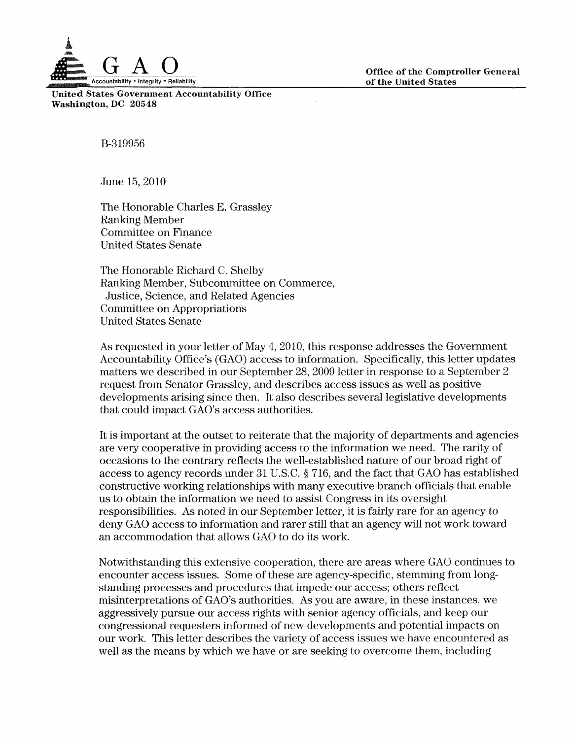

Office of the Comptroller General of the United States

United States Government Accountability Office Washington, DC 20548

B-319956

June 15,2010

The Honorable Charles E. Grassley Ranking Member Committee on Finance United States Senate

The Honorable Richard C. Shelby Ranking Member, Subcommittee on Commerce, Justice, Science, and Related Agencies Committee on Appropriations United States Senate

As requested in your letter of May 4,2010, this response addresses the Government Accountability Office's (GAO) access to information. Specifically, this letter updates matters we described in our September 28, 2009 letter in response to a September 2 request from Senator Grassley, and describes access issues as well as positive developments arising since then. It also describes several legislative developments that could impact GAO's access authorities.

It is important at the outset to reiterate that the majority of departments and agencies are very cooperative in providing access to the information we need. The rarity of occasions to the contrary reflects the well-established nature of our broad right of access to agency records under 31 U.S.C. § 716, and the fact that GAO has established constructive working relationships with many executive branch officials that enable us to obtain the information we need to assist Congress in its oversight responsibilities. As noted in our September letter, it is fairly rare for an agency to deny GAO access to information and rarer still that an agency will not work toward an accommodation that allows GAO to do its work.

Notwithstanding this extensive cooperation, there are areas where GAO continues to encounter access issues. Some of these are agency-specific, stemming from longstanding processes and procedures that impede our access; others reflect misinterpretations of GAO's authorities. As you are aware, in these instances, we aggressively pursue our access rights with senior agency officials, and keep our congressional requesters informed of new developments and potential impacts on our work. This letter describes the variety of access issues we have encountered as well as the means by which we have or are seeking to overcome them, including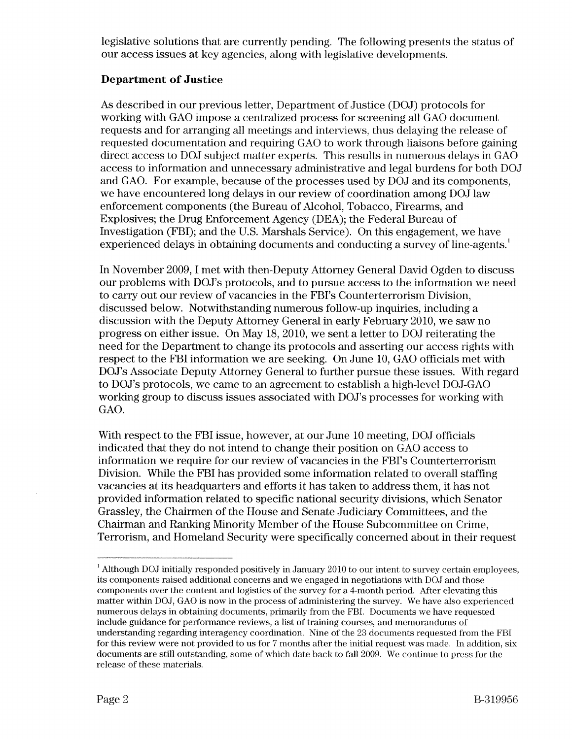legislative solutions that are currently pending. The following presents the status of our access issues at key agencies, along with legislative developments.

# **Department of Justice**

As described in our previous letter, Department of Justice (DOJ) protocols for working with GAO impose a centralized process for screening all GAO document requests and for arranging all meetings and interviews, thus delaying the release of requested documentation and requiring GAO to work through liaisons before gaining direct access to DOJ subject matter experts. This results in numerous delays in GAO access to information and unnecessary administrative and legal burdens for both DOJ and GAO. For example, because of the processes used by DOJ and its components, we have encountered long delays in our review of coordination among DOJ law enforcement components (the Bureau of Alcohol, Tobacco, Firearms, and Explosives; the Drug Enforcement Agency (DEA); the Federal Bureau of Investigation (FBI); and the U.S. Marshals Service). On this engagement, we have experienced delays in obtaining documents and conducting a survey of line-agents.<sup>1</sup>

**In** November 2009, I met with then-Deputy Attorney General David Ogden to discuss our problems with DOJ's protocols, and to pursue access to the information we need to carry out our review of vacancies in the FBI's Counterterrorism Division, discussed below. Notwithstanding numerous follow-up inquiries, including a discussion with the Deputy Attorney General in early February 2010, we saw no progress on either issue. On May 18, 2010, we sent a letter to DOJ reiterating the need for the Department to change its protocols and asserting our access rights with respect to the FBI information we are seeking. On June 10, GAO officials met with DOJ's Associate Deputy Attorney General to further pursue these issues. With regard to DOJ's protocols, we came to an agreement to establish a high-level DOJ-GAO working group to discuss issues associated with DOJ's processes for working with GAO.

With respect to the FBI issue, however, at our June 10 meeting, DOJ officials indicated that they do not intend to change their position on GAO access to information we require for our review of vacancies in the FBI's Counterterrorism Division. While the FBI has provided some information related to overall staffing vacancies at its headquarters and efforts it has taken to address them, it has not provided information related to specific national security divisions, which Senator Grassley, the Chairmen of the House and Senate Judiciary Committees, and the Chairman and Ranking Minority Member of the House Subcommittee on Crime, Terrorism, and Homeland Security were specifically concerned about in their request

 $^1$  Although DOJ initially responded positively in January 2010 to our intent to survey certain employees, its components raised additional concerns and we engaged in negotiations with DOJ and those components over the content and logistics of the survey for a 4-month period. After elevating this matter within DOJ, GAO is now in the process of administering the survey. We have also experienced numerous delays in obtaining documents, primarily from the FBI. Documents we have requested include guidance for performance reviews, a list of training courses, and memorandums of understanding regarding interagency coordination. Nine of the 23 documents requested from the FBI for this review were not provided to us for 7 months after the initial request was made. In addition, six documents are still outstanding, some of which date back to fall 2009. We continue to press for the release of these materials.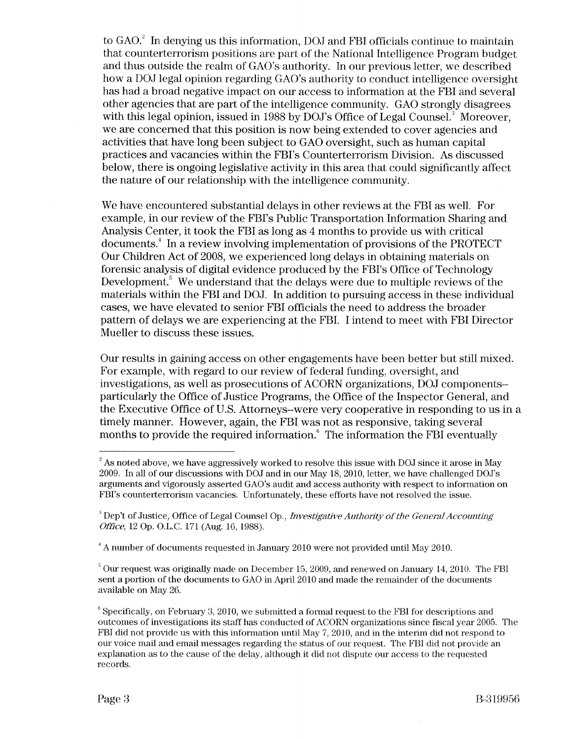to  $GAO<sup>2</sup>$  In denying us this information, DOJ and FBI officials continue to maintain that counterterrorism positions are part of the National Intelligence Program budget and thus outside the realm of GAO's authority. In our previous letter, we described how a DOJ legal opinion regarding GAO's authority to conduct intelligence oversight has had a broad negative impact on our access to information at the FBI and several other agencies that are part of the intelligence community. GAO strongly disagrees with this legal opinion, issued in 1988 by DOJ's Office of Legal Counsel. $^3$  Moreover, we are concerned that this position is now being extended to cover agencies and activities that have long been subject to GAO oversight, such as human capital practices and vacancies within the FBI's Counterterrorism Division. As discussed below, there is ongoing legislative activity in this area that could significantly affect the nature of our relationship with the intelligence community.

We have encountered substantial delays in other reviews at the FBI as well. For example, in our review of the FBI's Public Transportation Information Sharing and Analysis Center, it took the FBI as long as 4 months to provide us with critical documents.<sup>4</sup> In a review involving implementation of provisions of the PROTECT Our Children Act of 2008, we experienced long delays in obtaining materials on forensic analysis of digital evidence produced by the FBI's Office of Technology Development.<sup>5</sup> We understand that the delays were due to multiple reviews of the materials within the FBI and DOJ. In addition to pursuing access in these individual cases, we have elevated to senior FBI officials the need to address the broader pattern of delays we are experiencing at the FBI. I intend to meet with FBI Director Mueller to discuss these issues.

Our results in gaining access on other engagements have been better but still mixed. For example, with regard to our review of federal funding, oversight, and investigations, as well as prosecutions of ACORN organizations, DOJ components- particularly the Office of Justice Programs, the Office of the Inspector General, and the Executive Office of U.S. Attorneys--were very cooperative in responding to us in a timely manner. However, again, the FBI was not as responsive, taking several months to provide the required information.<sup>6</sup> The information the FBI eventually

 $^{\rm 2}$  As noted above, we have aggressively worked to resolve this issue with DOJ since it arose in May 2009. In all of our discussions with DOJ and in our May 18, 2010, letter, we have challenged DOJ's arguments and vigorously asserted GAO's audit and access authority with respect to information on FBI's counterterrorism vacancies. Unfortunately, these efforts have not resolved the issue.

<sup>&</sup>lt;sup>3</sup> Dep't of Justice, Office of Legal Counsel Op., *Investigative Authority of the General Accounting Office,* 12 Op. O.L.C. 171 (Aug. 16, 1988).

<sup>&</sup>lt;sup>4</sup> A number of documents requested in January 2010 were not provided until May 2010.

 $5$  Our request was originally made on December 15, 2009, and renewed on January 14, 2010. The FBI sent a portion of the documents to GAO in April 2010 and made the remainder of the documents available on May 26.

 $\degree$  Specifically, on February 3, 2010, we submitted a formal request to the FBI for descriptions and outcomes of investigations its staff has conducted of ACORN organizations since fiscal year 2005. The FBI did not provide us with this information until May 7, 2010, and in the interim did not respond to our voice mail and email messages regarding the status of our request. The FBI did not provide an explanation as to the cause of the delay, although it did not dispute our access to the requested records.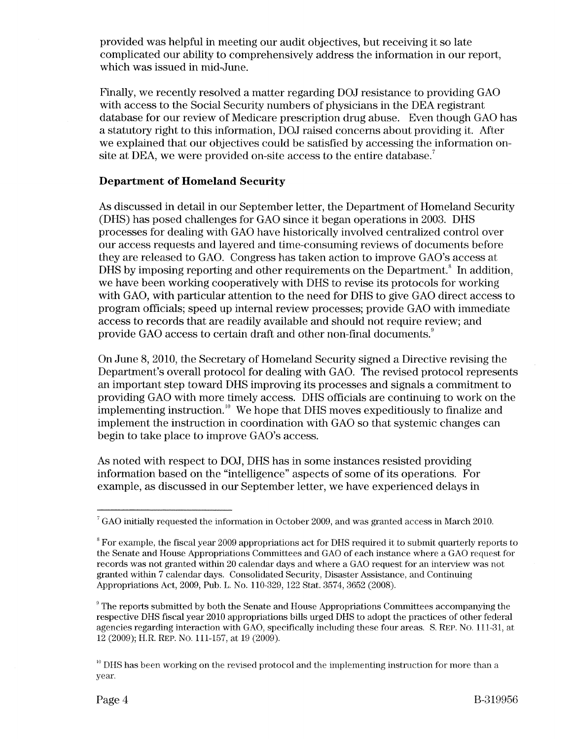provided was helpful in meeting our audit objectives, but receiving it so late complicated our ability to comprehensively address the information in our report, which was issued in mid-June.

Finally, we recently resolved a matter regarding DOJ resistance to providing GAO with access to the Social Security numbers of physicians in the DEA registrant database for our review of Medicare prescription drug abuse. Even though GAO has a statutory right to this information, DOJ raised concerns about providing it. After we explained that our objectives could be satisfied by accessing the information onsite at DEA, we were provided on-site access to the entire database.<sup>7</sup>

#### **Department of Homeland Security**

As discussed in detail in our September letter, the Department of Homeland Security (DHS) has posed challenges for GAO since it began operations in 2003. DHS processes for dealing with GAO have historically involved centralized control over our access requests and layered and time-consuming reviews of documents before they are released to GAO. Congress has taken action to improve GAO's access at DHS by imposing reporting and other requirements on the Department.<sup> $\textdegree$ </sup> In addition, we have been working cooperatively with DHS to revise its protocols for working with GAO, with particular attention to the need for DHS to give GAO direct access to program officials; speed up internal review processes; provide GAO with immediate access to records that are readily available and should not require review; and provide GAO access to certain draft and other non-final documents. *<sup>9</sup>*

On June 8, 2010, the Secretary of Homeland Security signed a Directive revising the Department's overall protocol for dealing with GAO. The revised protocol represents an important step toward DHS improving its processes and signals a commitment to providing GAO with more timely access. DHS officials are continuing to work on the implementing instruction.<sup>10</sup> We hope that DHS moves expeditiously to finalize and implement the instruction in coordination with GAO so that systemic changes can begin to take place to improve GAO's access.

As noted with respect to DOJ, DHS has in some instances resisted providing information based on the "intelligence" aspects of some of its operations. For example, as discussed in our September letter, we have experienced delays in

<sup>7</sup> GAO initially requested the information in October 2009, and was granted access in March 2010.

 $8$  For example, the fiscal year 2009 appropriations act for DHS required it to submit quarterly reports to the Senate and House Appropriations Committees and GAO of each instance where a GAO request for records was not granted within 20 calendar days and where a GAO request for an interview was not granted within 7 calendar days. Consolidated Security, Disaster Assistance, and Continuing Appropriations Act, 2009, Pub. L. No. 110-329, 122 Stat. 3574, 3652 (2008).

 $\degree$  The reports submitted by both the Senate and House Appropriations Committees accompanying the respective DHS fiscal year 2010 appropriations bills urged DHS to adopt the practices of other federal agencies regarding interaction with GAO, specifically including these four areas. S. REP. No. 111-31, at 12 (2009); H.R. REP. No. 111-157, at 19 (2009).

 $10$  DHS has been working on the revised protocol and the implementing instruction for more than a year.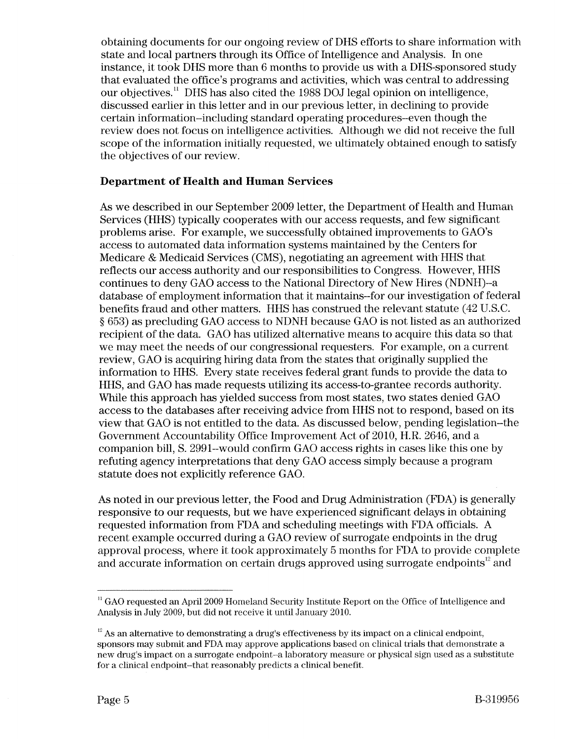obtaining documents for our ongoing review of DHS efforts to share information with state and local partners through its Office of Intelligence and Analysis. **In** one instance, it took DHS more than 6 months to provide us with a DHS-sponsored study that evaluated the office's programs and activities, which was central to addressing our objectives.<sup>11</sup> DHS has also cited the 1988 DOJ legal opinion on intelligence, discussed earlier in this letter and in our previous letter, in declining to provide certain information--including standard operating procedures--even though the review does not focus on intelligence activities. Although we did not receive the full scope of the information initially requested, we ultimately obtained enough to satisfy the objectives of our review.

#### **Department of Health and Human Services**

As we described in our September 2009 letter, the Department of Health and Human Services (HHS) typically cooperates with our access requests, and few significant problems arise. For example, we successfully obtained improvements to GAO's access to automated data information systems maintained by the Centers for Medicare & Medicaid Services (CMS), negotiating an agreement with HHS that reflects our access authority and our responsibilities to Congress. However, HHS continues to deny GAO access to the National Directory of New Hires (NDNH)--a database of employment information that it maintains--for our investigation of federal benefits fraud and other matters. HHS has construed the relevant statute (42 U.S.C. § 653) as precluding GAO access to NDNH because GAO is not listed as an authorized recipient of the data. GAO has utilized alternative means to acquire this data so that we may meet the needs of our congressional requesters. For example, on a current review, GAO is acquiring hiring data from the states that originally supplied the information to HHS. Every state receives federal grant funds to provide the data to HHS, and GAO has made requests utilizing its access-to-grantee records authority. While this approach has yielded success from most states, two states denied GAO access to the databases after receiving advice from HHS not to respond, based on its view that GAO is not entitled to the data. As discussed below, pending legislation--the Government Accountability Office Improvement Act of 2010, H.R. 2646, and a companion bill, S. 2991-would confirm GAO access rights in cases like this one by refuting agency interpretations that deny GAO access simply because a program statute does not explicitly reference GAO.

As noted in our previous letter, the Food and Drug Administration (FDA) is generally responsive to our requests, but we have experienced significant delays in obtaining requested information from FDA and scheduling meetings with FDA officials. A recent example occurred during a GAO review of surrogate endpoints in the drug approval process, where it took approximately 5 months for FDA to provide complete and accurate information on certain drugs approved using surrogate endpoints $^{12}$  and

<sup>&</sup>lt;sup>11</sup> GAO requested an April 2009 Homeland Security Institute Report on the Office of Intelligence and Analysis in July 2009, but did not receive it until January 2010.

 $12$  As an alternative to demonstrating a drug's effectiveness by its impact on a clinical endpoint, sponsors may submit and FDA may approve applications based on clinical trials that demonstrate a new drug's impact on a surrogate endpoint--a laboratory measure or physical sign used as a substitute for a clinical endpoint-that reasonably predicts a clinical benefit.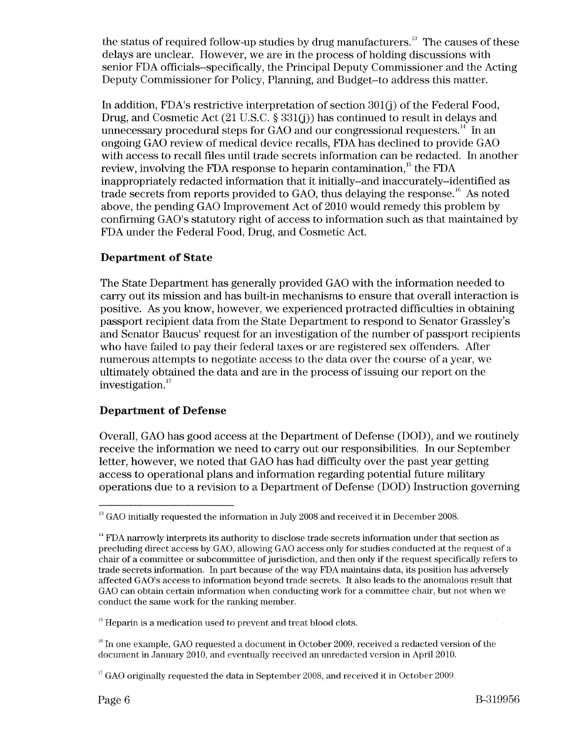the status of required follow-up studies by drug manufacturers.<sup>13</sup> The causes of these delays are unclear. However, we are in the process of holding discussions with senior FDA officials--specifically, the Principal Deputy Commissioner and the Acting Deputy Commissioner for Policy, Planning, and Budget-to address this matter.

In addition, FDA's restrictive interpretation of section 301(j) of the Federal Food, Drug, and Cosmetic Act  $(21 \text{ U.S.C.} \text{ § } 331(i))$  has continued to result in delays and unnecessary procedural steps for GAO and our congressional requesters.<sup>14</sup> In an ongoing GAO review of medical device recalls, FDA has declined to provide GAO with access to recall files until trade secrets information can be redacted. **In** another review, involving the FDA response to heparin contamination,<sup>15</sup> the FDA inappropriately redacted information that it initially--and inaccurately--identified as trade secrets from reports provided to GAO, thus delaying the response. $^{\scriptscriptstyle{16}}$  As noted above, the pending GAO Improvement Act of 2010 would remedy this problem by confirming GAO's statutory right of access to information such as that maintained by FDA under the Federal Food, Drug, and Cosmetic Act.

# **Department of State**

The State Department has generally provided GAO with the information needed to carry out its mission and has built-in mechanisms to ensure that overall interaction is positive. As you know, however, we experienced protracted difficulties in obtaining passport recipient data from the State Department to respond to Senator Grassley's and Senator Baucus' request for an investigation of the number of passport recipients who have failed to pay their federal taxes or are registered sex offenders. After numerous attempts to negotiate access to the data over the course of a year, we ultimately obtained the data and are in the process of issuing our report on the investigation.<sup>17</sup>

## **Department of Defense**

Overall, GAO has good access at the Department of Defense (DOD), and we routinely receive the information we need to carry out our responsibilities. **In** our September letter, however, we noted that GAO has had difficulty over the past year getting access to operational plans and information regarding potential future military operations due to a revision to a Department of Defense (DOD) Instruction governing

 $13$  GAO initially requested the information in July 2008 and received it in December 2008.

<sup>&</sup>lt;sup>14</sup> FDA narrowly interprets its authority to disclose trade secrets information under that section as precluding direct access by GAO, allowing GAO access only for studies conducted at the request of a chair of a committee or subcommittee of jurisdiction, and then only if the request specifically refers to trade secrets inforrnation. In part because of the way FDA maintains data, its position has adversely affected GAO's access to inforrnation beyond trade secrets. It also leads to the anomalous result that GAO can obtain certain inforrnation when conducting work for a committee chair, but not when we conduct the same work for the ranking member.

 $15$  Heparin is a medication used to prevent and treat blood clots.

 $<sup>16</sup>$  In one example, GAO requested a document in October 2009, received a redacted version of the</sup> document in January 2010, and eventually received an unredacted version in April 2010.

 $17$  GAO originally requested the data in September 2008, and received it in October 2009.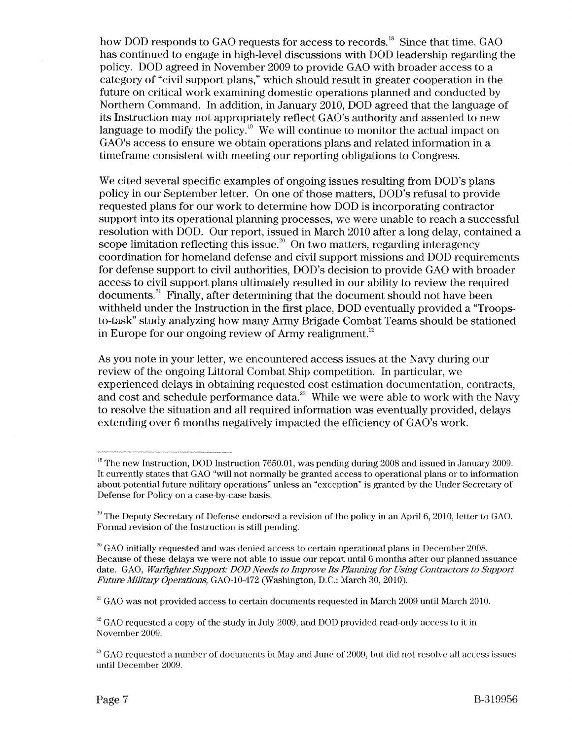how DOD responds to GAO requests for access to records.<sup>18</sup> Since that time, GAO has continued to engage in high-level discussions with DOD leadership regarding the policy. DOD agreed in November 2009 to provide GAO with broader access to a category of "civil support plans," which should result in greater cooperation in the future on critical work examining domestic operations planned and conducted by Northern Command. **In** addition, in January 2010, DOD agreed that the language of its Instruction may not appropriately reflect GAO's authority and assented to new language to modify the policy.<sup>19</sup> We will continue to monitor the actual impact on GAO's access to ensure we obtain operations plans and related information in a timeframe consistent with meeting our reporting obligations to Congress.

We cited several specific examples of ongoing issues resulting from DOD's plans policy in our September letter. On one of those matters, DOD's refusal to provide requested plans for our work to determine how DOD is incorporating contractor support into its operational planning processes, we were unable to reach a successful resolution with DOD. Our report, issued in March 2010 after a long delay, contained a scope limitation reflecting this issue.<sup>20</sup> On two matters, regarding interagency coordination for homeland defense and civil support missions and DOD requirements for defense support to civil authorities, DOD's decision to provide GAO with broader access to civil support plans ultimately resulted in our ability to review the required documents.<sup>21</sup> Finally, after determining that the document should not have been withheld under the Instruction in the first place, DOD eventually provided a "Troopsto-task" study analyzing how many Army Brigade Combat Teams should be stationed in Europe for our ongoing review of Army realignment. $^{22}$ 

As you note in your letter, we encountered access issues at the Navy during our review of the ongoing Littoral Combat Ship competition. **In** particular, we experienced delays in obtaining requested cost estimation documentation, contracts, and cost and schedule performance data. $^{23}$  While we were able to work with the Navy to resolve the situation and all required information was eventually provided, delays extending over 6 months negatively impacted the efficiency of GAO's work.

 $21$  GAO was not provided access to certain documents requested in March 2009 until March 2010.

<sup>&</sup>lt;sup>18</sup> The new Instruction, DOD Instruction 7650.01, was pending during 2008 and issued in January 2009. It currently states that GAO "will not normally be granted access to operational plans or to information about potential future military operations" unless an "exception" is granted by the Under Secretary of Defense for Policy on a case-by-case basis.

 $I<sup>19</sup>$  The Deputy Secretary of Defense endorsed a revision of the policy in an April 6, 2010, letter to GAO. Formal revision of the Instruction is still pending.

 $20$  GAO initially requested and was denied access to certain operational plans in December 2008. Because of these delays we were not able to issue our report until 6 months after our planned issuance date. GAO, *Warfighter Support: DOD Needs to Improve Its Plannjng for Using Contractors to Support Future Military Operations, GAO-10-472 (Washington, D.C.: March 30, 2010).* 

 $^{22}$  GAO requested a copy of the study in July 2009, and DOD provided read-only access to it in November 2009.

 $^{23}$  GAO requested a number of documents in May and June of 2009, but did not resolve all access issues until December 2009.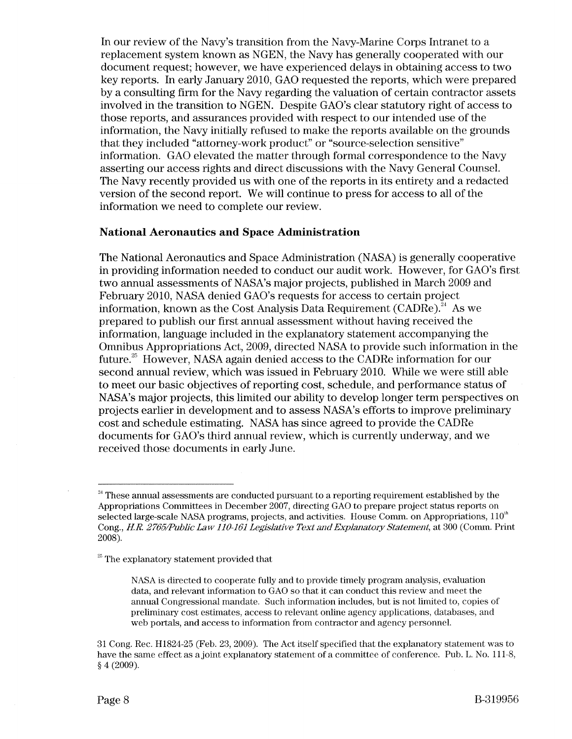In our review of the Navy's transition from the Navy-Marine Corps Intranet to a replacement system known as NGEN, the Navy has generally cooperated with our document request; however, we have experienced delays in obtaining access to two key reports. In early January 2010, GAO requested the reports, which were prepared by a consulting firm for the Navy regarding the valuation of certain contractor assets involved in the transition to NGEN. Despite GAO's clear statutory right of access to those reports, and assurances provided with respect to our intended use of the information, the Navy initially refused to make the reports available on the grounds that they included "attorney-work product" or "source-selection sensitive" information. GAO elevated the matter through formal correspondence to the Navy asserting our access rights and direct discussions with the Navy General Counsel. The Navy recently provided us with one of the reports in its entirety and a redacted version of the second report. We will continue to press for access to all of the information we need to complete our review.

#### **National Aeronautics and Space Administration**

The National Aeronautics and Space Administration (NASA) is generally cooperative in providing information needed to conduct our audit work. However, for GAO's first two annual assessments of NASA's major projects, published in March 2009 and February 2010, NASA denied GAO's requests for access to certain project information, known as the Cost Analysis Data Requirement (CADRe).<sup>24</sup> As we prepared to publish our first annual assessment without having received the information, language included in the explanatory statement accompanying the Omnibus Appropriations Act, 2009, directed NASA to provide such information in the future.<sup>25</sup> However, NASA again denied access to the CADRe information for our second annual review, which was issued in February 2010. While we were still able to meet our basic objectives of reporting cost, schedule, and performance status of NASA's major projects, this limited our ability to develop longer term perspectives on projects earlier in development and to assess NASA's efforts to improve preliminary cost and schedule estimating. NASA has since agreed to provide the CADRe documents for GAO's third annual review, which is currently underway, and we received those documents in early June.

<sup>&</sup>lt;sup>24</sup> These annual assessments are conducted pursuant to a reporting requirement established by the Appropriations Committees in December 2007, directing GAO to prepare project status reports on selected large-scale NASA programs, projects, and activities. House Comm. on Appropriations, 110<sup>th</sup> Cong., *HR. 2765IPublic Law 110-161 Legislative Text and Explanatory Statement,* at 300 (Comm. Print 2008).

 $25$  The explanatory statement provided that

NASA is directed to cooperate fully and to provide timely program analysis, evaluation data, and relevant information to GAO so that it can conduct this review and meet the annual Congressional mandate. Such information includes, but is not limited to, copies of preliminary cost estimates, access to relevant online agency applications, databases, and web portals, and access to information from contractor and agency personnel.

<sup>31</sup> Cong. Rec. H1824-25 (Feb. 23, 2009). The Act itself specified that the explanatory statement was to have the same effect as a joint explanatory statement of a committee of conference. Pub. L. No. 111-8, § 4 (2009).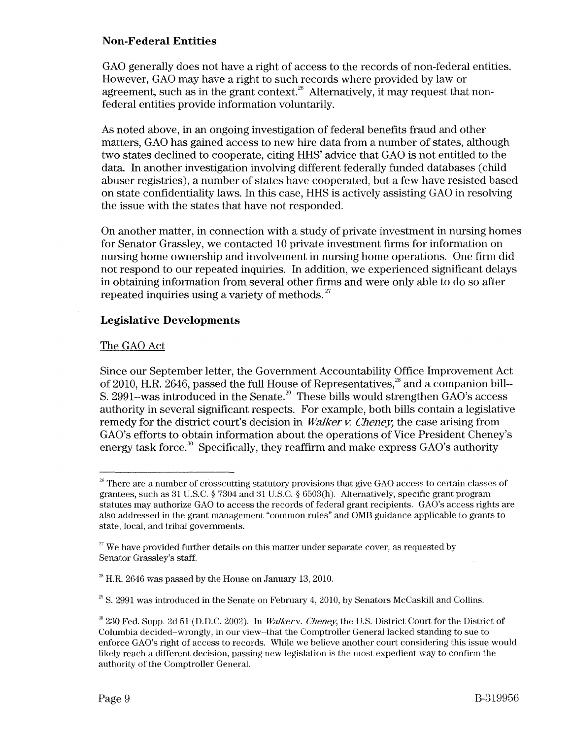## **Non-Federal Entities**

GAO generally does not have a right of access to the records of non-federal entities. However, GAO may have a right to such records where provided by law or agreement, such as in the grant context.<sup>26</sup> Alternatively, it may request that nonfederal entities provide information voluntarily.

As noted above, in an ongoing investigation of federal benefits fraud and other matters, GAO has gained access to new hire data from a number of states, although two states declined to cooperate, citing HHS' advice that GAO is not entitled to the data. **In** another investigation involving different federally funded databases (child abuser registries), a number of states have cooperated, but a few have resisted based on state confidentiality laws. **In** this case, HHS is actively assisting GAO in resolving the issue with the states that have not responded.

On another matter, in connection with a study of private investment in nursing homes for Senator Grassley, we contacted 10 private investment firms for information on nursing horne ownership and involvement in nursing horne operations. One firm did not respond to our repeated inquiries. **In** addition, we experienced significant delays in obtaining information from several other firms and were only able to do so after repeated inquiries using a variety of methods.  $27$ 

## **Legislative Developments**

#### The GAO Act

Since our September letter, the Government Accountability Office Improvement Act of 2010, H.R. 2646, passed the full House of Representatives, $^{28}$  and a companion bill--S. 2991–was introduced in the Senate.<sup>29</sup> These bills would strengthen GAO's access authority in several significant respects. For example, both bills contain a legislative remedy for the district court's decision in *Walker v. Cheney*, the case arising from GAO's efforts to obtain information about the operations of Vice President Cheney's energy task force.<sup>30</sup> Specifically, they reaffirm and make express  $GAO's$  authority

 $26$  There are a number of crosscutting statutory provisions that give GAO access to certain classes of grantees, such as 31 U.S.C. § 7304 and 31 U.S.C. § 6503(h). Alternatively, specific grant program statutes may authorize GAO to access the records of federal grant recipients. GAO's access rights are also addressed in the grant management "common rules" and OMB guidance applicable to grants to state, local, and tribal governments.

 $27$  We have provided further details on this matter under separate cover, as requested by Senator Grassley's staff.

 $^{28}$  H.R. 2646 was passed by the House on January 13, 2010.

 $29$  S. 2991 was introduced in the Senate on February 4, 2010, by Senators McCaskill and Collins.

 $^{30}$  230 Fed. Supp. 2d 51 (D.D.C. 2002). In *Walkerv. Cheney*, the U.S. District Court for the District of Columbia decided-wrongly, in our view-that the Comptroller General lacked standing to sue to enforce GAO's right of access to records. While we believe another court considering this issue would likely reach a different decision, passing new legislation is the most expedient way to confirm the authority of the Comptroller GeneraL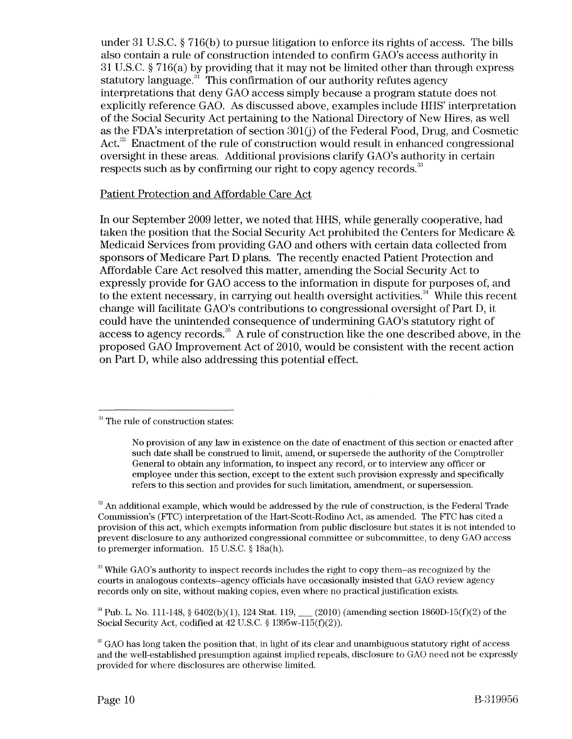under 31 U.S.C. § 716(b) to pursue litigation to enforce its rights of access. The bills also contain a rule of construction intended to confirm GAO's access authority in 31 U.S.C. § 716(a) by providing that it may not be limited other than through express statutory language. $31$  This confirmation of our authority refutes agency interpretations that deny GAO access simply because a program statute does not explicitly reference GAO. As discussed above, examples include HHS' interpretation of the Social Security Act pertaining to the National Directory of New Hires, as well as the FDA's interpretation of section  $301(j)$  of the Federal Food, Drug, and Cosmetic Act.<sup>32</sup> Enactment of the rule of construction would result in enhanced congressional oversight in these areas. Additional provisions clarify GAO's authority in certain respects such as by confirming our right to copy agency records.<sup>33</sup>

## Patient Protection and Affordable Care Act

In our September 2009 letter, we noted that HHS, while generally cooperative, had taken the position that the Social Security Act prohibited the Centers for Medicare & Medicaid Services from providing GAO and others with certain data collected from sponsors of Medicare Part D plans. The recently enacted Patient Protection and Affordable Care Act resolved this matter, amending the Social Security Act to expressly provide for GAO access to the information in dispute for purposes of, and to the extent necessary, in carrying out health oversight activities.<sup>34</sup> While this recent change will facilitate GAO's contributions to congressional oversight of Part D, it could have the unintended consequence of undermining GAO's statutory right of access to agency records.<sup>35</sup> A rule of construction like the one described above, in the proposed GAO Improvement Act of 2010, would be consistent with the recent action on Part D, while also addressing this potential effect.

 $33$  While GAO's authority to inspect records includes the right to copy them-as recognized by the courts in analogous contexts-agency officials have occasionally insisted that GAO review agency records only on site, without making copies, even where no practical justification exists.

<sup>34</sup> Pub. L. No. 111-148, § 6402(b)(1), 124 Stat. 119, (2010) (amending section 1860D-15(f)(2) of the Social Security Act, codified at  $42$  U.S.C. § 1395w-115(f)(2)).

<sup>&</sup>lt;sup>31</sup> The rule of construction states:

No provision of any law in existence on the date of enactment of this section or enacted after such date shall be construed to limit, amend, or supersede the authority of the Comptroller General to obtain any information, to inspect any record, or to interview any officer or employee under this section, except to the extent such provision expressly and specifically refers to this section and provides for such limitation, amendment, or supersession .

 $2<sup>32</sup>$  An additional example, which would be addressed by the rule of construction, is the Federal Trade Commission's (FTC) interpretation of the Hart-Scott-Rodino Act, as amended. The FTC has cited a provision of this act, which exempts information from public disclosure but states it is not intended to prevent disclosure to any authorized congressional committee or subcommittee, to deny GAO access to premerger information. 15 U.s.C. § 18a(h).

<sup>&</sup>lt;sup>35</sup> GAO has long taken the position that, in light of its clear and unambiguous statutory right of access and the well-established presumption against implied repeals, disclosure to GAO need not be expressly provided for where disclosures are otherwise limited.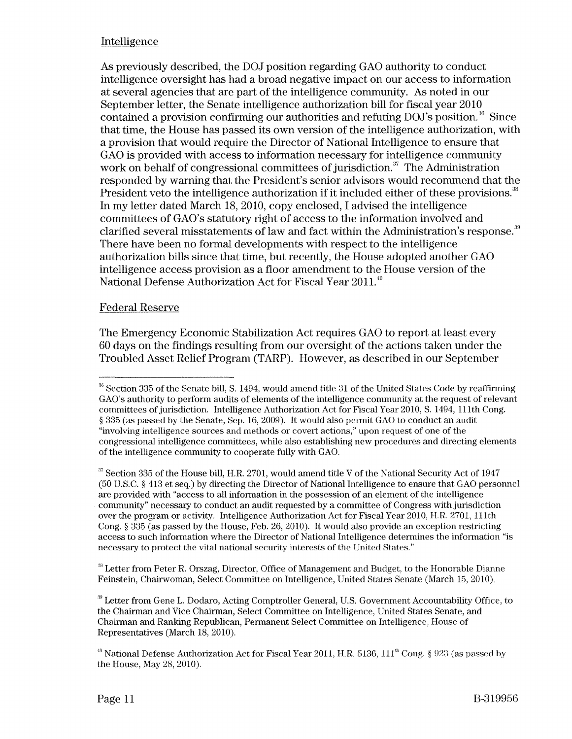# Intelligence

As previously described, the DOJ position regarding GAO authority to conduct intelligence oversight has had a broad negative impact on our access to information at several agencies that are part of the intelligence community. As noted in our September letter, the Senate intelligence authorization bill for fiscal year 2010 contained a provision confirming our authorities and refuting  $DOJ$ 's position.<sup>36</sup> Since that time, the House has passed its own version of the intelligence authorization, with a provision that would require the Director of National Intelligence to ensure that GAO is provided with access to information necessary for intelligence community work on behalf of congressional committees of jurisdiction.<sup>37</sup> The Administration responded by warning that the President's senior advisors would recommend that the President veto the intelligence authorization if it included either of these provisions.<sup>38</sup> In my letter dated March 18, 2010, copy enclosed, I advised the intelligence committees of GAO's statutory right of access to the information involved and clarified several misstatements of law and fact within the Administration's response.<sup>39</sup> There have been no formal developments with respect to the intelligence authorization bills since that time, but recently, the House adopted another GAO intelligence access provision as a floor amendment to the House version of the National Defense Authorization Act for Fiscal Year 2011.<sup>40</sup>

# Federal Reserve

The Emergency Economic Stabilization Act requires GAO to report at least every 60 days on the findings resulting from our oversight of the actions taken under the Troubled Asset Relief Program (TARP). However, as described in our September

38 Letter from Peter R. Orszag, Director, Office of Management and Budget, to the Honorable Dianne Feinstein, Chairwoman, Select Committee on Intelligence, United States Senate (March 15, 2010).

 $39$  Letter from Gene L. Dodaro, Acting Comptroller General, U.S. Government Accountability Office, to the Chairman and Vice Chairman, Select Committee on Intelligence, United States Senate, and Chairman and Ranking Republican, Permanent Select Committee on Intelligence, House of Representatives (March 18, 2010).

 $36$  Section 335 of the Senate bill, S. 1494, would amend title 31 of the United States Code by reaffirming GAO's authority to perform audits of elements of the intelligence community at the request of relevant committees of jurisdiction. Intelligence Authorization Act for Fiscal Year 2010, S. 1494, 111th Cong. § 335 (as passed by the Senate, Sep. 16, 2009). It would also permit GAO to conduct an audit "involving intelligence sources and methods or covert actions," upon request of one of the congressional intelligence committees, while also establishing new procedures and directing elements of the intelligence community to cooperate fully with GAO.

<sup>&</sup>lt;sup>37</sup> Section 335 of the House bill, H.R. 2701, would amend title V of the National Security Act of 1947 (50 U.S.C. § 413 et seq.) by directing the Director of National Intelligence to ensure that GAO personnel are provided with "access to all information in the possession of an element of the intelligence community" necessary to conduct an audit requested by a committee of Congress with jurisdiction over the program or activity. Intelligence Authorization Act for Fiscal Year 2010, H.R. 2701, l1lth Cong.  $\S 335$  (as passed by the House, Feb. 26, 2010). It would also provide an exception restricting access to such information where the Director of National Intelligence determines the information "is necessary to protect the vital national security interests of the United States."

<sup>&</sup>lt;sup>40</sup> National Defense Authorization Act for Fiscal Year 2011, H.R. 5136, 111<sup>th</sup> Cong. § 923 (as passed by the House, May 28,2010).